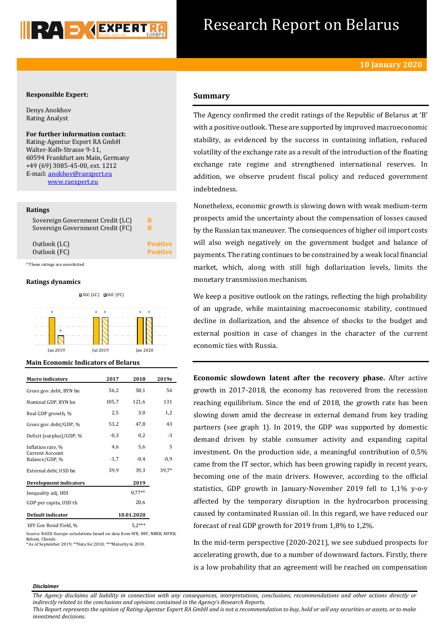

# Research Report on Belarus

# **Responsible Expert:**

Denys Anokhov Rating Analyst

**For further information contact:** Rating-Agentur Expert RA GmbH Walter-Kolb-Strasse 9-11, 60594 Frankfurt am Main, Germany +49 (69) 3085-45-00, ext. 1212 E-mail: [anokhov@raexpert.eu](mailto:anokhov@raexpert.eu) [www.raexpert.eu](http://raexpert.eu/)

## **Ratings**

| Sovereign Government Credit (LC) | в               |
|----------------------------------|-----------------|
| Sovereign Government Credit (FC) | R               |
| Outlook (LC)                     | <b>Positive</b> |
| Outlook (FC)                     | <b>Positive</b> |

\* These ratings are unsolicited

# **Ratings dynamics**



Jan 2019 Jul 2019 Jan 2020

### **Main Economic Indicators of Belarus**

| <b>Macro</b> indicators                  | 2017   | 2018       | 2019e  |
|------------------------------------------|--------|------------|--------|
| Gross gov. debt, BYN bn                  | 56,2   | 58,1       | 56     |
| Nominal GDP, BYN bn                      | 105,7  | 121,6      | 131    |
| Real GDP growth, %                       | 2,5    | 3,0        | 1,2    |
| Gross gov. debt/GDP, %                   | 53,2   | 47,8       | 43     |
| Deficit (surplus)/GDP, %                 | $-0.3$ | 0,2        | $-3$   |
| Inflation rate, %                        | 4,6    | 5,6        | 5      |
| <b>Current Account</b><br>Balance/GDP, % | $-1,7$ | $-0.4$     | $-0,9$ |
| External debt, USD bn                    | 39,9   | 39,3       | 39,7*  |
| <b>Development indicators</b>            |        | 2019       |        |
| Inequality adj. HDI                      |        | $0.77**$   |        |
| GDP per capita, USD th                   |        | 20,6       |        |
| Default indicator                        |        | 10.01.2020 |        |
| 10Y Gov Bond Yield, %                    |        | $5,2***$   |        |

Source: RAEX-Europe calculations based on data from WB, IMF, NBRB, MFRB, Belstat, Cbonds.

\* As of September 2019; \*\*Data for 2018; \*\*\*Maturity in 2030.

# **Summary**

The Agency confirmed the credit ratings of the Republic of Belarus at 'В' with a positive outlook. These are supported by improved macroeconomic stability, as evidenced by the success in containing inflation, reduced volatility of the exchange rate as a result of the introduction of the floating exchange rate regime and strengthened international reserves. In addition, we observe prudent fiscal policy and reduced government indebtedness.

Nonetheless, economic growth is slowing down with weak medium-term prospects amid the uncertainty about the compensation of losses caused by the Russian tax maneuver. The consequences of higher oil import costs will also weigh negatively on the government budget and balance of payments. The rating continues to be constrained by a weak local financial market, which, along with still high dollarization levels, limits the monetary transmission mechanism.

We keep a positive outlook on the ratings, reflecting the high probability of an upgrade, while maintaining macroeconomic stability, continued decline in dollarization, and the absence of shocks to the budget and external position in case of changes in the character of the current economic ties with Russia.

**Economic slowdown latent after the recovery phase.** After active growth in 2017-2018, the economy has recovered from the recession reaching equilibrium. Since the end of 2018, the growth rate has been slowing down amid the decrease in external demand from key trading partners (see graph 1). In 2019, the GDP was supported by domestic demand driven by stable consumer activity and expanding capital investment. On the production side, a meaningful contribution of 0,5% came from the IT sector, which has been growing rapidly in recent years, becoming one of the main drivers. However, according to the official statistics, GDP growth in January-November 2019 fell to 1,1% y-o-y affected by the temporary disruption in the hydrocarbon processing caused by contaminated Russian oil. In this regard, we have reduced our forecast of real GDP growth for 2019 from 1,8% to 1,2%.

In the mid-term perspective (2020-2021), we see subdued prospects for accelerating growth, due to a number of downward factors. Firstly, there is a low probability that an agreement will be reached on compensation

#### *Disclaimer*

*The Agency disclaims all liability in connection with any consequences, interpretations, conclusions, recommendations and other actions directly or indirectly related to the conclusions and opinions contained in the Agency's Research Reports.*

*This Report represents the opinion of Rating-Agentur Expert RA GmbH and is not a recommendation to buy, hold or sell any securities or assets, or to make investment decisions.*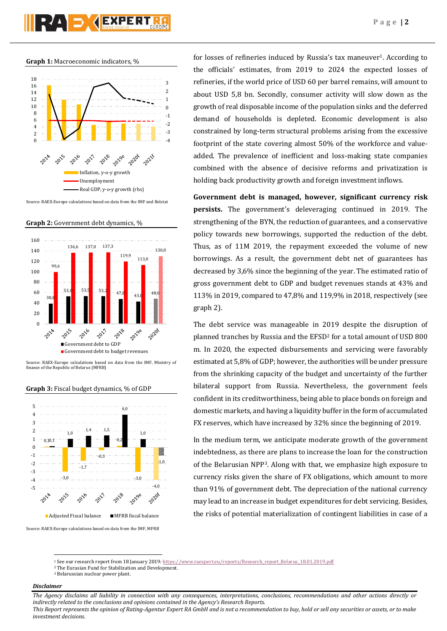**Graph 1:** Macroeconomic indicators, %



Source: RAEX-Europe calculations based on data from the IMF and Belstat

**Graph 2:** Government debt dynamics, %



Source: RAEX-Europe calculations based on data from the IMF, Ministry of finance of the Republic of Belarus (MFRB)

## **Graph 3:** Fiscal budget dynamics, % of GDP



Source: RAEX-Europe calculations based on data from the IMF, MFRB

for losses of refineries induced by Russia's tax maneuver<sup>1</sup>. According to the officials' estimates, from 2019 to 2024 the expected losses of refineries, if the world price of USD 60 per barrel remains, will amount to about USD 5,8 bn. Secondly, consumer activity will slow down as the growth of real disposable income of the population sinks and the deferred demand of households is depleted. Economic development is also constrained by long-term structural problems arising from the excessive footprint of the state covering almost 50% of the workforce and valueadded. The prevalence of inefficient and loss-making state companies combined with the absence of decisive reforms and privatization is holding back productivity growth and foreign investment inflows.

**Government debt is managed, however, significant currency risk persists.** The government's deleveraging continued in 2019. The strengthening of the BYN, the reduction of guarantees, and a conservative policy towards new borrowings, supported the reduction of the debt. Thus, as of 11M 2019, the repayment exceeded the volume of new borrowings. As a result, the government debt net of guarantees has decreased by 3,6% since the beginning of the year. The estimated ratio of gross government debt to GDP and budget revenues stands at 43% and 113% in 2019, compared to 47,8% and 119,9% in 2018, respectively (see graph 2).

The debt service was manageable in 2019 despite the disruption of planned tranches by Russia and the EFSD<sup>2</sup> for a total amount of USD 800 m. In 2020, the expected disbursements and servicing were favorably estimated at 5,8% of GDP; however, the authorities will be under pressure from the shrinking capacity of the budget and uncertainty of the further bilateral support from Russia. Nevertheless, the government feels confident in its creditworthiness, being able to place bonds on foreign and domestic markets, and having a liquidity buffer in the form of accumulated FX reserves, which have increased by 32% since the beginning of 2019.

In the medium term, we anticipate moderate growth of the government indebtedness, as there are plans to increase the loan for the construction of the Belarusian NPP3. Along with that, we emphasize high exposure to currency risks given the share of FX obligations, which amount to more than 91% of government debt. The depreciation of the national currency may lead to an increase in budget expenditures for debt servicing. Besides, the risks of potential materialization of contingent liabilities in case of a

# *Disclaimer*

**.** 

*The Agency disclaims all liability in connection with any consequences, interpretations, conclusions, recommendations and other actions directly or indirectly related to the conclusions and opinions contained in the Agency's Research Reports.*

*This Report represents the opinion of Rating-Agentur Expert RA GmbH and is not a recommendation to buy, hold or sell any securities or assets, or to make investment decisions.*

<sup>1</sup> See our research report from 18 January 2019[: https://www.raexpert.eu/reports/Research\\_report\\_Belarus\\_18.01.2019.pdf](https://www.raexpert.eu/reports/Research_report_Belarus_18.01.2019.pdf)

<sup>2</sup> The Eurasian Fund for Stabilization and Development.

<sup>3</sup> Belarussian nuclear power plant.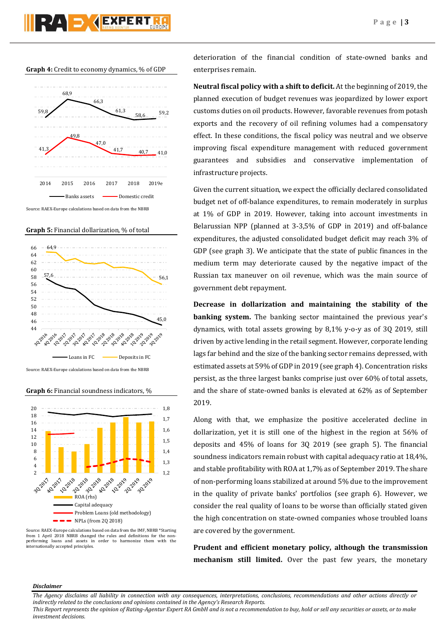

**Graph 5:** Financial dollarization, % of total



Source: RAEX-Europe calculations based on data from the NBRB

**Graph 6:** Financial soundness indicators, %



Source: RAEX-Europe calculations based on data from the IMF, NBRB \*Starting from 1 April 2018 NBRB changed the rules and definitions for the nonperforming loans and assets in order to harmonize them with the internationally accepted principles.

deterioration of the financial condition of state-owned banks and enterprises remain.

**Neutral fiscal policy with a shift to deficit.** At the beginning of 2019, the planned execution of budget revenues was jeopardized by lower export customs duties on oil products. However, favorable revenues from potash exports and the recovery of oil refining volumes had a compensatory effect. In these conditions, the fiscal policy was neutral and we observe improving fiscal expenditure management with reduced government guarantees and subsidies and conservative implementation of infrastructure projects.

Given the current situation, we expect the officially declared consolidated budget net of off-balance expenditures, to remain moderately in surplus at 1% of GDP in 2019. However, taking into account investments in Belarussian NPP (planned at 3-3,5% of GDP in 2019) and off-balance expenditures, the adjusted consolidated budget deficit may reach 3% of GDP (see graph 3). We anticipate that the state of public finances in the medium term may deteriorate caused by the negative impact of the Russian tax maneuver on oil revenue, which was the main source of government debt repayment.

**Decrease in dollarization and maintaining the stability of the banking system.** The banking sector maintained the previous year's dynamics, with total assets growing by 8,1% y-o-y as of 3Q 2019, still driven by active lending in the retail segment. However, corporate lending lags far behind and the size of the banking sector remains depressed, with estimated assets at 59% of GDP in 2019 (see graph 4). Concentration risks persist, as the three largest banks comprise just over 60% of total assets, and the share of state-owned banks is elevated at 62% as of September 2019.

Along with that, we emphasize the positive accelerated decline in dollarization, yet it is still one of the highest in the region at 56% of deposits and 45% of loans for 3Q 2019 (see graph 5). The financial soundness indicators remain robust with capital adequacy ratio at 18,4%, and stable profitability with ROA at 1,7% as of September 2019. The share of non-performing loans stabilized at around 5% due to the improvement in the quality of private banks' portfolios (see graph 6). However, we consider the real quality of loans to be worse than officially stated given the high concentration on state-owned companies whose troubled loans are covered by the government.

**Prudent and efficient monetary policy, although the transmission mechanism still limited.** Over the past few years, the monetary

## *Disclaimer*

*This Report represents the opinion of Rating-Agentur Expert RA GmbH and is not a recommendation to buy, hold or sell any securities or assets, or to make investment decisions.*

*The Agency disclaims all liability in connection with any consequences, interpretations, conclusions, recommendations and other actions directly or indirectly related to the conclusions and opinions contained in the Agency's Research Reports.*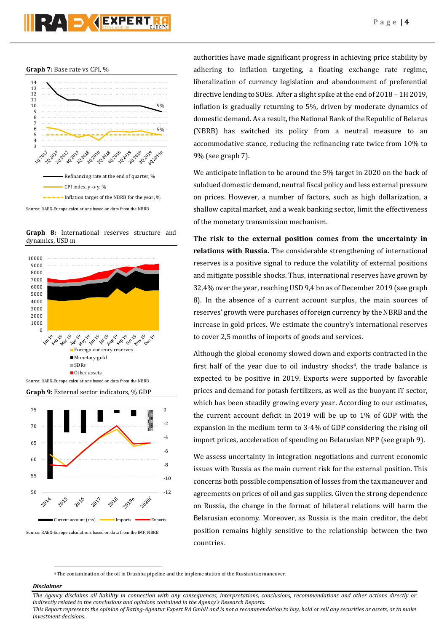





**Graph 8:** International reserves structure and dynamics, USD m



Source: RAEX-Europe calculations based on data from the IMF, NBRB

authorities have made significant progress in achieving price stability by adhering to inflation targeting, a floating exchange rate regime, liberalization of currency legislation and abandonment of preferential directive lending to SOEs. After a slight spike at the end of 2018 – 1H 2019, inflation is gradually returning to 5%, driven by moderate dynamics of domestic demand. As a result, the National Bank of the Republic of Belarus (NBRB) has switched its policy from a neutral measure to an accommodative stance, reducing the refinancing rate twice from 10% to 9% (see graph 7).

We anticipate inflation to be around the 5% target in 2020 on the back of subdued domestic demand, neutral fiscal policy and less external pressure on prices. However, a number of factors, such as high dollarization, a shallow capital market, and a weak banking sector, limit the effectiveness of the monetary transmission mechanism.

**The risk to the external position comes from the uncertainty in relations with Russia.** The considerable strengthening of international reserves is a positive signal to reduce the volatility of external positions and mitigate possible shocks. Thus, international reserves have grown by 32,4% over the year, reaching USD 9,4 bn as of December 2019 (see graph 8). In the absence of a current account surplus, the main sources of reserves' growth were purchases of foreign currency by the NBRB and the increase in gold prices. We estimate the country's international reserves to cover 2,5 months of imports of goods and services.

Although the global economy slowed down and exports contracted in the first half of the year due to oil industry shocks<sup>4</sup>, the trade balance is expected to be positive in 2019. Exports were supported by favorable prices and demand for potash fertilizers, as well as the buoyant IT sector, which has been steadily growing every year. According to our estimates, the current account deficit in 2019 will be up to 1% of GDP with the expansion in the medium term to 3-4% of GDP considering the rising oil import prices, acceleration of spending on Belarusian NPP (see graph 9).

We assess uncertainty in integration negotiations and current economic issues with Russia as the main current risk for the external position. This concerns both possible compensation of losses from the tax maneuver and agreements on prices of oil and gas supplies. Given the strong dependence on Russia, the change in the format of bilateral relations will harm the Belarusian economy. Moreover, as Russia is the main creditor, the debt position remains highly sensitive to the relationship between the two countries.

<sup>4</sup> The contamination of the oil in Druzhba pipeline and the implementation of the Russian tax maneuver.

# *Disclaimer*

**.** 

*investment decisions.*

*The Agency disclaims all liability in connection with any consequences, interpretations, conclusions, recommendations and other actions directly or indirectly related to the conclusions and opinions contained in the Agency's Research Reports. This Report represents the opinion of Rating-Agentur Expert RA GmbH and is not a recommendation to buy, hold or sell any securities or assets, or to make*